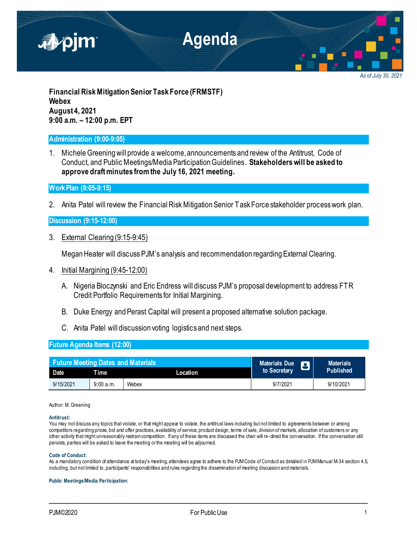

*As of July 30, 2021*

**Financial Risk Mitigation Senior Task Force (FRMSTF) Webex August 4, 2021 9:00 a.m. – 12:00 p.m. EPT**

# **Administration (9:00-9:05)**

1. Michele Greening will provide a welcome, announcements and review of the Antitrust, Code of Conduct, and Public Meetings/Media Participation Guidelines. **Stakeholders will be asked to approve draft minutes from the July 16, 2021 meeting.**

**Work Plan (9:05-9:15)**

2. Anita Patel will review the Financial Risk Mitigation Senior Task Force stakeholder process work plan.

**Discussion (9:15-12:00)**

3. External Clearing (9:15-9:45)

Megan Heater will discuss PJM's analysis and recommendation regarding External Clearing.

- 4. Initial Margining (9:45-12:00)
	- A. Nigeria Bloczynski and Eric Endress will discuss PJM's proposal development to address FTR Credit Portfolio Requirements for Initial Margining.
	- B. Duke Energy and Perast Capital will present a proposed alternative solution package.
	- C. Anita Patel will discussion voting logistics and next steps.

## **Future Agenda Items (12:00)**

| <b>Future Meeting Dates and Materials</b> |          |          | <b>Materials Due</b> | <b>Materials</b> |
|-------------------------------------------|----------|----------|----------------------|------------------|
| Date                                      | Time     | Location | to Secretary         | <b>Published</b> |
| 9/15/2021                                 | 9:00a.m. | Webex    | 9/7/2021             | 9/10/2021        |

### Author: M. Greening

### **Antitrust:**

You may not discuss any topics that violate, or that might appear to violate, the antitrust laws including but not limited to agreements between or among competitors regarding prices, bid and offer practices, availability of service, product design, terms of sale, division of markets, allocation of customers or any other activity that might unreasonably restrain competition. If any of these items are discussed the chair will re -direct the conversation. If the conversation still persists, parties will be asked to leave the meeting or the meeting will be adjourned.

### **Code of Conduct:**

As a mandatory condition of attendance at today's meeting, attendees agree to adhere to the PJM Code of Conduct as detailed in PJM Manual M-34 section 4.5, including, but not limited to, participants' responsibilities and rules regarding the dissemination of meeting discussion and materials.

### **Public Meetings/Media Participation:**